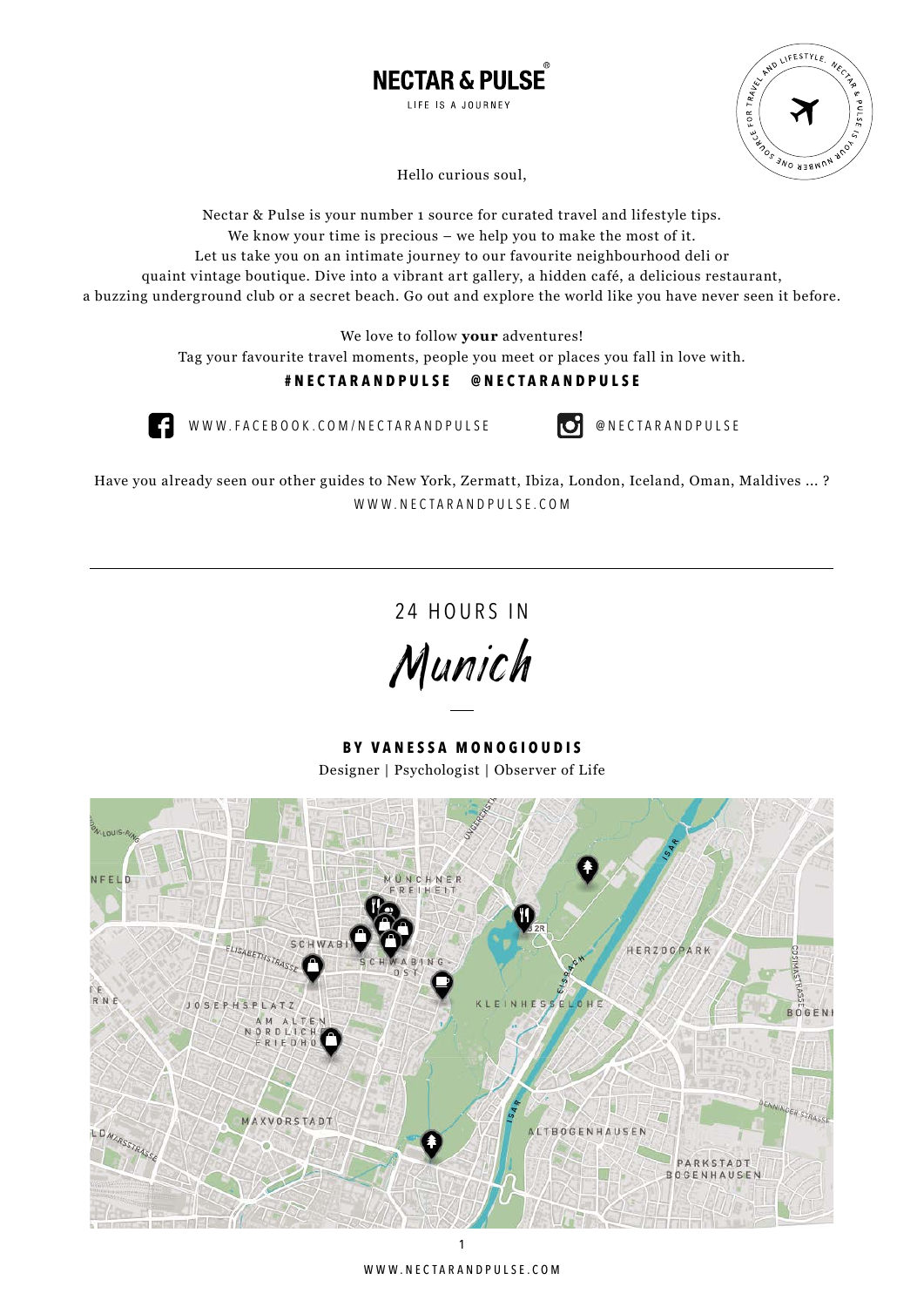



Hello curious soul,

Nectar & Pulse is your number 1 source for curated travel and lifestyle tips. We know your time is precious – we help you to make the most of it. Let us take you on an intimate journey to our favourite neighbourhood deli or quaint vintage boutique. Dive into a vibrant art gallery, a hidden café, a delicious restaurant, a buzzing underground club or a secret beach. Go out and explore the world like you have never seen it before.

We love to follow **your** adventures!

Tag your favourite travel moments, people you meet or places you fall in love with.

## **#nectarandpulse @nectarandpulse**



WWW.FACEBOOK.COM/NECTARANDPULSE **@** NECTARANDPULSE

Have you already seen our other guides to New York, Zermatt, Ibiza, London, Iceland, Oman, Maldives ... ? WWW.NECTARANDPULSE.COM

24 HOURS IN

Munich

**by Vanessa Monogioudis** Designer | Psychologist | Observer of Life

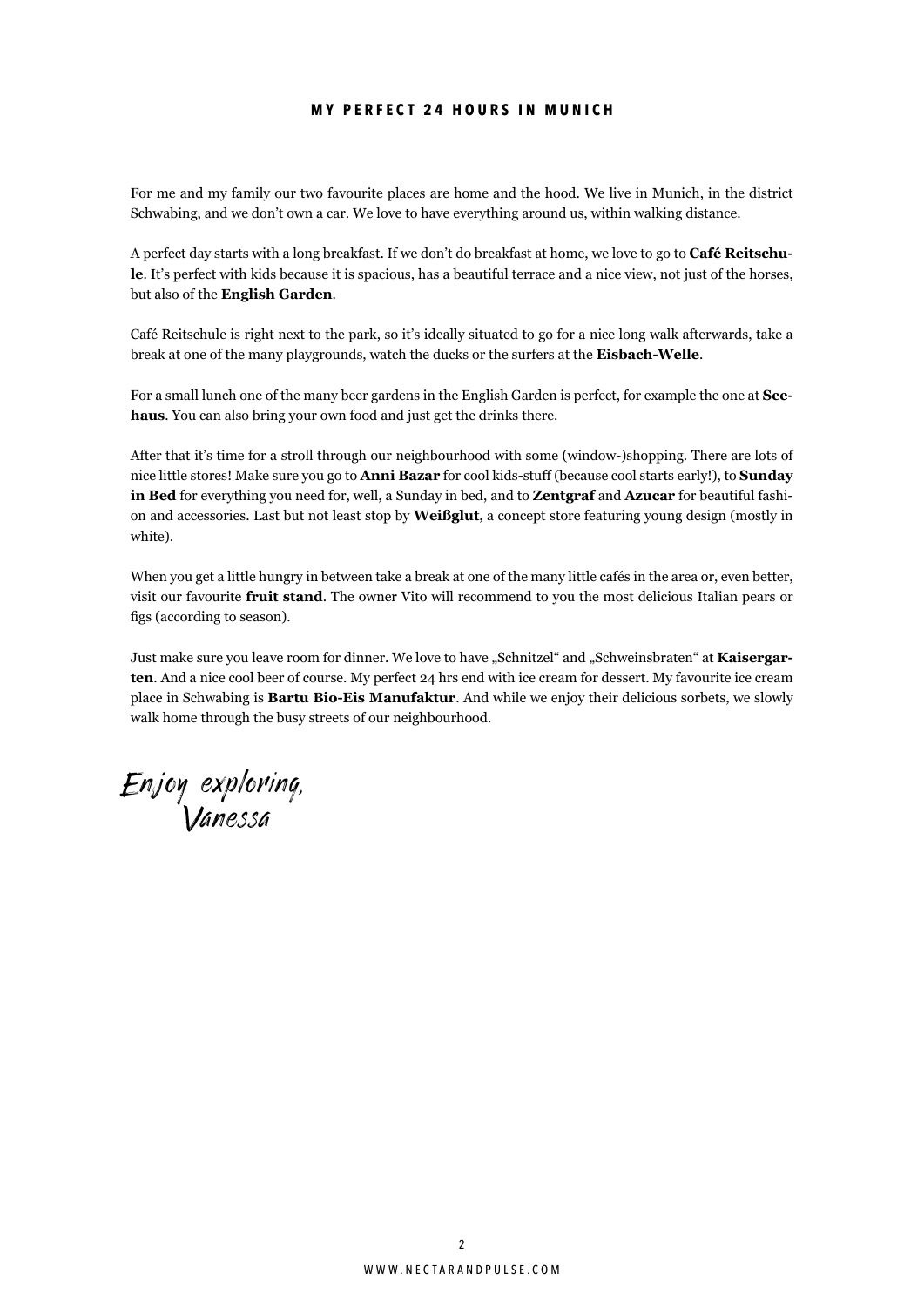## **m y perfect 24 hours in Munich**

For me and my family our two favourite places are home and the hood. We live in Munich, in the district Schwabing, and we don't own a car. We love to have everything around us, within walking distance.

A perfect day starts with a long breakfast. If we don't do breakfast at home, we love to go to **Café Reitschule**. It's perfect with kids because it is spacious, has a beautiful terrace and a nice view, not just of the horses, but also of the **English Garden**.

Café Reitschule is right next to the park, so it's ideally situated to go for a nice long walk afterwards, take a break at one of the many playgrounds, watch the ducks or the surfers at the **Eisbach-Welle**.

For a small lunch one of the many beer gardens in the English Garden is perfect, for example the one at **Seehaus**. You can also bring your own food and just get the drinks there.

After that it's time for a stroll through our neighbourhood with some (window-)shopping. There are lots of nice little stores! Make sure you go to **Anni Bazar** for cool kids-stuff (because cool starts early!), to **Sunday in Bed** for everything you need for, well, a Sunday in bed, and to **Zentgraf** and **Azucar** for beautiful fashion and accessories. Last but not least stop by **Weißglut**, a concept store featuring young design (mostly in white).

When you get a little hungry in between take a break at one of the many little cafés in the area or, even better, visit our favourite **fruit stand**. The owner Vito will recommend to you the most delicious Italian pears or figs (according to season).

Just make sure you leave room for dinner. We love to have "Schnitzel" and "Schweinsbraten" at **Kaisergarten**. And a nice cool beer of course. My perfect 24 hrs end with ice cream for dessert. My favourite ice cream place in Schwabing is **Bartu Bio-Eis Manufaktur**. And while we enjoy their delicious sorbets, we slowly walk home through the busy streets of our neighbourhood.

Enjoy exploring, Vanessa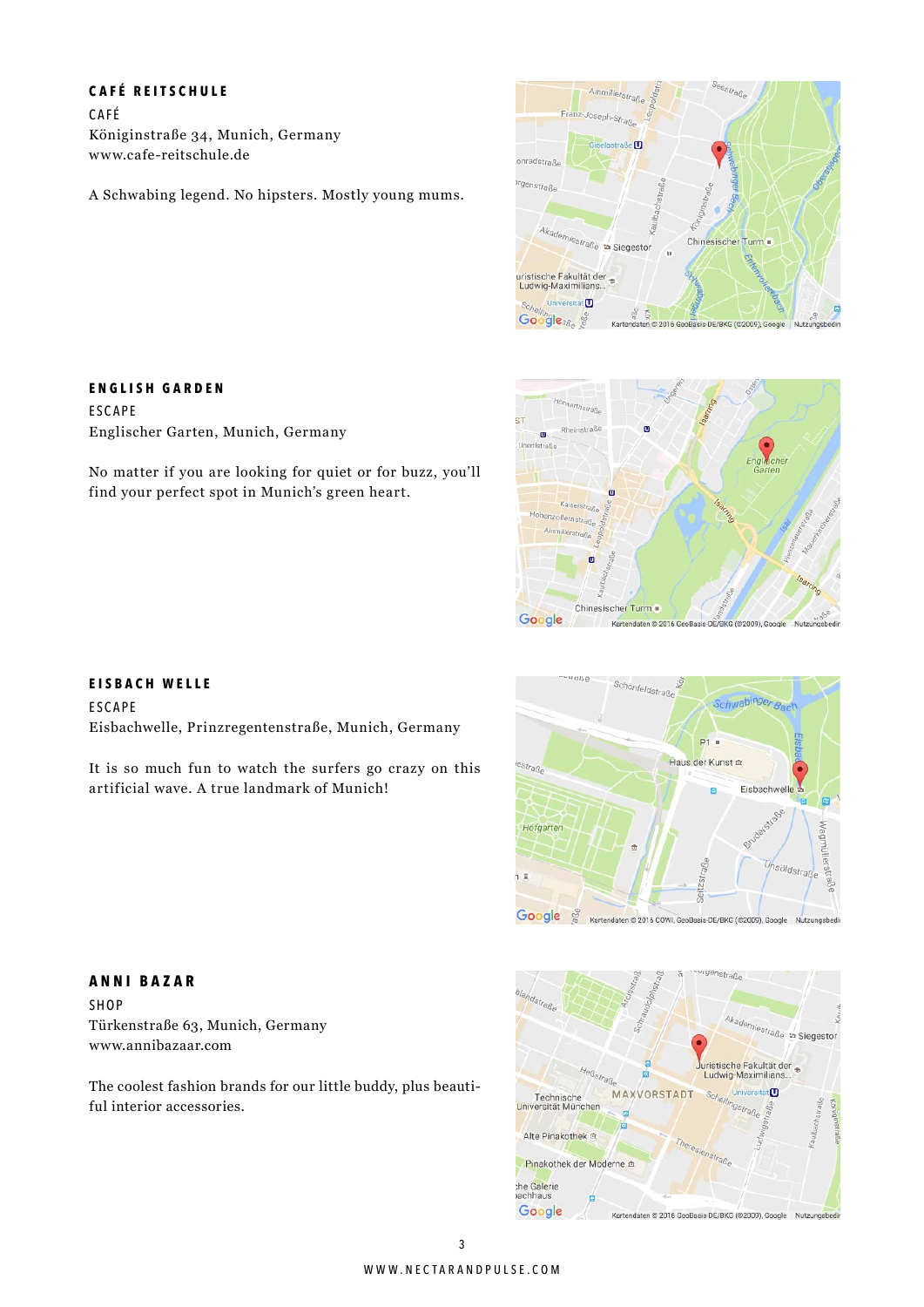### **C afé R eitschule**

C a f é Königinstraße 34, Munich, Germany www.cafe-reitschule.de

A Schwabing legend. No hipsters. Mostly young mums.





## **ESCAPE**

**E nglish G arden**

Englischer Garten, Munich, Germany

No matter if you are looking for quiet or for buzz, you'll find your perfect spot in Munich's green heart.

#### **E isbach Welle**

**ESCAPE** Eisbachwelle, Prinzregentenstraße, Munich, Germany

It is so much fun to watch the surfers go crazy on this artificial wave. A true landmark of Munich!



#### emiestraße a Siegestor ristische Fakultät der Ludwig-Maximil **MAXVORSTADT** ÷m Technische<br>Universität Müncher F Alte Pinakothek <sup>e</sup> enstraße Pinakothek der Moderne the Galerie<br>vachhaus Google Kartendaten @ 2016 GeoBasis-DE/BKG (@2009), Google Nutzungsbed

enstraße

## **A nni B azar**

Shop Türkenstraße 63, Munich, Germany www.annibazaar.com

The coolest fashion brands for our little buddy, plus beautiful interior accessories.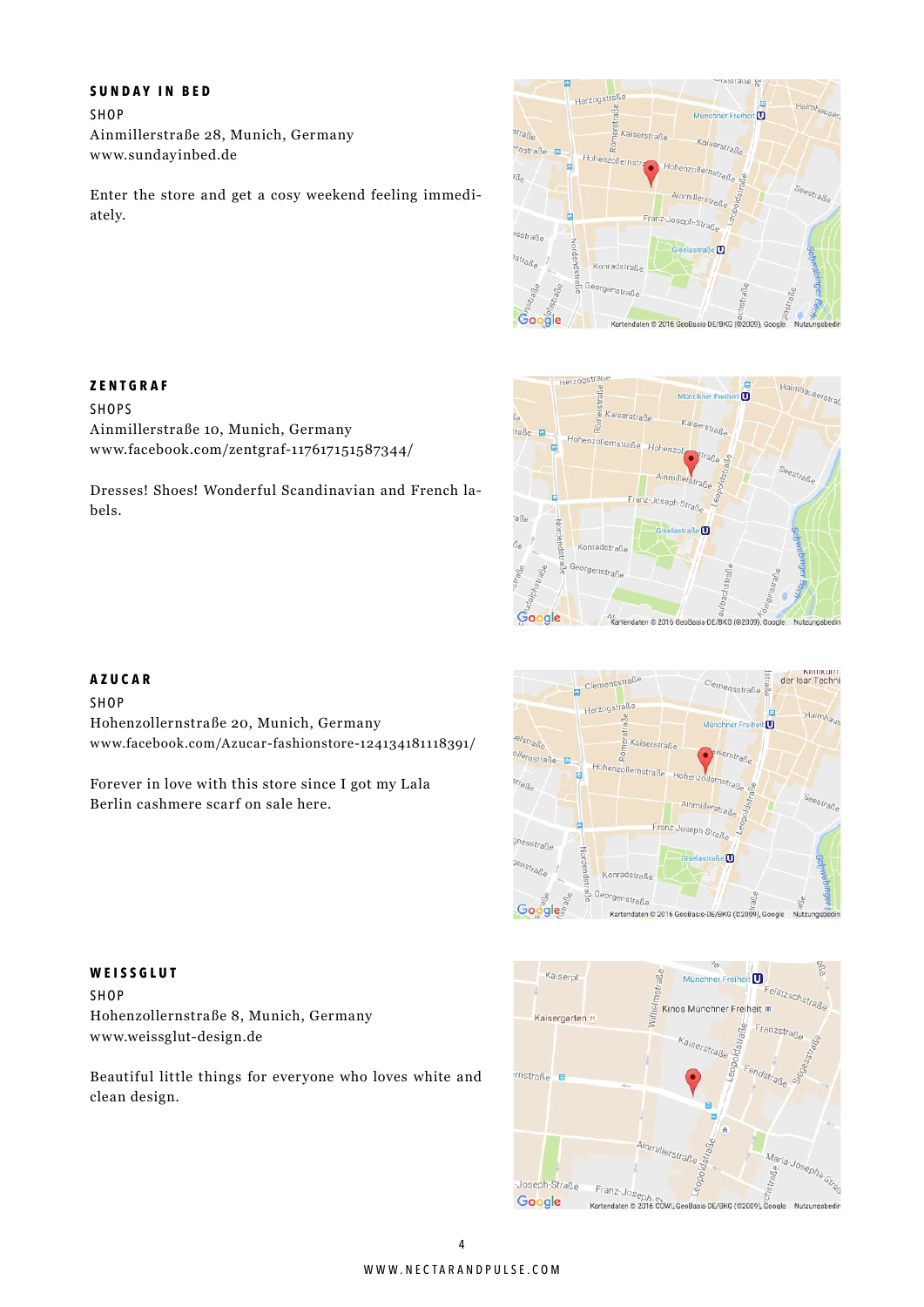#### **S unday in B e d**

Shop Ainmillerstraße 28, Munich, Germany www.sundayinbed.de

Ainmillerstraße 10, Munich, Germany

www.facebook.com/zentgraf-117617151587344/

Dresses! Shoes! Wonderful Scandinavian and French la-

Enter the store and get a cosy weekend feeling immediately.







**Z entgraf SHOPS** 

Shop

bels.

Hohenzollernstraße 20, Munich, Germany www.facebook.com/Azucar-fashionstore-124134181118391/

Forever in love with this store since I got my Lala Berlin cashmere scarf on sale here.





# **Weissglut**

shop Hohenzollernstraße 8, Munich, Germany www.weissglut-design.de

Beautiful little things for everyone who loves white and clean design.